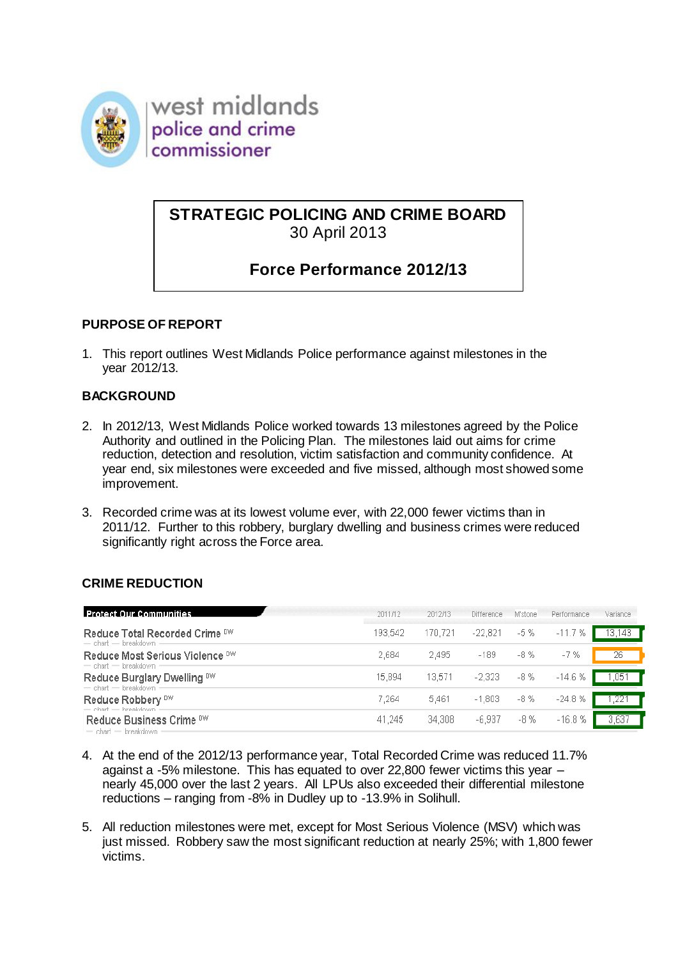

west midlands police and crime commissioner

# **STRATEGIC POLICING AND CRIME BOARD** 30 April 2013

# **Force Performance 2012/13**

### **PURPOSE OF REPORT**

1. This report outlines West Midlands Police performance against milestones in the year 2012/13.

### **BACKGROUND**

- 2. In 2012/13, West Midlands Police worked towards 13 milestones agreed by the Police Authority and outlined in the Policing Plan. The milestones laid out aims for crime reduction, detection and resolution, victim satisfaction and community confidence. At year end, six milestones were exceeded and five missed, although most showed some improvement.
- 3. Recorded crime was at its lowest volume ever, with 22,000 fewer victims than in 2011/12. Further to this robbery, burglary dwelling and business crimes were reduced significantly right across the Force area.

#### **CRIME REDUCTION**

| <b>Protect Our Communities</b>                             | 2011/12 | 2012/13 | <b>Difference</b> | M'stone | Performance | Variance |
|------------------------------------------------------------|---------|---------|-------------------|---------|-------------|----------|
| Reduce Total Recorded Crime DW<br>$=$ chart $=$ breakdown  | 193.542 | 170,721 | $-22,821$         | $-5%$   | $-11.7%$    | 13,143   |
| Reduce Most Serious Violence DW<br>$=$ chart $=$ breakdown | 2.684   | 2.495   | $-189$            | $-8%$   | $-7%$       | 26       |
| Reduce Burglary Dwelling DW<br>$=$ chart $=$ breakdown     | 15,894  | 13,571  | $-2.323$          | -8 %    | $-14.6%$    | .051     |
| Reduce Robbery <sup>DW</sup><br>$=$ chart $=$ breakdown.   | 7.264   | 5.461   | $-1,803$          | -8 %    | $-24.8%$    |          |
| Reduce Business Crime DW<br>- chart - braskdown -          | 41.245  | 34,308  | $-6.937$          | -8 %    | $-16.8%$    | .637     |

- 4. At the end of the 2012/13 performance year, Total Recorded Crime was reduced 11.7% against a -5% milestone. This has equated to over 22,800 fewer victims this year – nearly 45,000 over the last 2 years. All LPUs also exceeded their differential milestone reductions – ranging from -8% in Dudley up to -13.9% in Solihull.
- 5. All reduction milestones were met, except for Most Serious Violence (MSV) which was just missed. Robbery saw the most significant reduction at nearly 25%; with 1,800 fewer victims.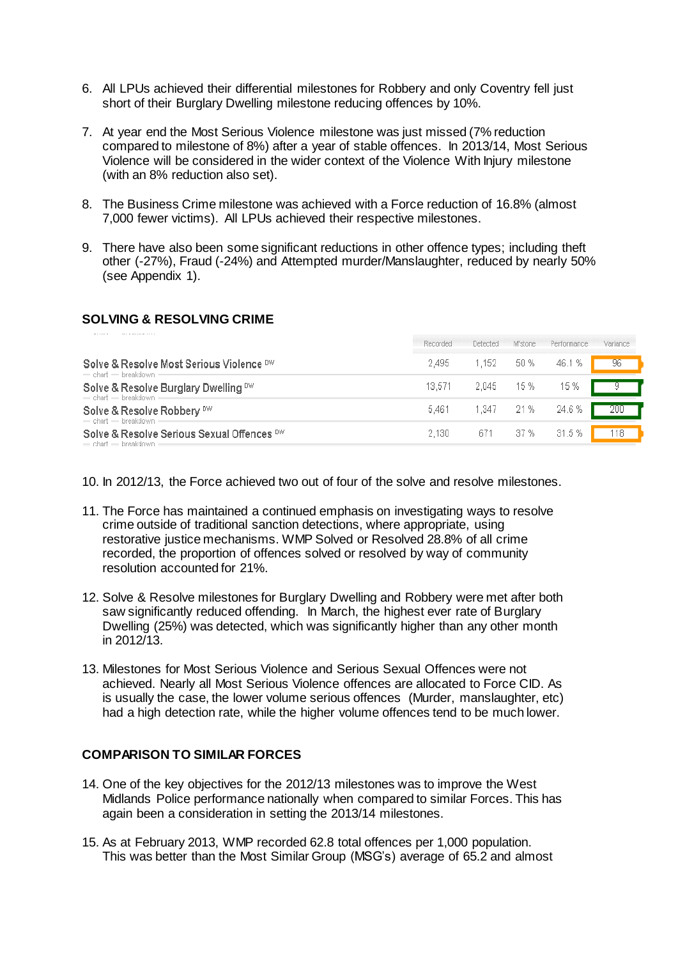- 6. All LPUs achieved their differential milestones for Robbery and only Coventry fell just short of their Burglary Dwelling milestone reducing offences by 10%.
- 7. At year end the Most Serious Violence milestone was just missed (7% reduction compared to milestone of 8%) after a year of stable offences. In 2013/14, Most Serious Violence will be considered in the wider context of the Violence With Injury milestone (with an 8% reduction also set).
- 8. The Business Crime milestone was achieved with a Force reduction of 16.8% (almost 7,000 fewer victims). All LPUs achieved their respective milestones.
- 9. There have also been some significant reductions in other offence types; including theft other (-27%), Fraud (-24%) and Attempted murder/Manslaughter, reduced by nearly 50% (see Appendix 1).

#### **SOLVING & RESOLVING CRIME**

|                                                                       | Recorded | Detected | M'stone    | Performance | Variance |
|-----------------------------------------------------------------------|----------|----------|------------|-------------|----------|
| Solve & Resolve Most Serious Violence DW<br>$=$ chart $=$ breakdown   | 2.495    | 1.152    | 50 %       | 46.1 %      | 96       |
| Solve & Resolve Burglary Dwelling DW<br>$=$ chart $=$ breakdown       | 13.571   | 2.045    | 15 %       | 15 %        |          |
| Solve & Resolve Robbery DW<br>$=$ chart $=$ breakdown                 | 5.461    |          | 1.347 21 % | 24.6 %      |          |
| Solve & Resolve Serious Sexual Offences DW<br>$=$ chart $=$ breakdown | 2.130    | 671 -    | 37 %       | 31.5 %      | 118      |

10. In 2012/13, the Force achieved two out of four of the solve and resolve milestones.

- 11. The Force has maintained a continued emphasis on investigating ways to resolve crime outside of traditional sanction detections, where appropriate, using restorative justice mechanisms. WMP Solved or Resolved 28.8% of all crime recorded, the proportion of offences solved or resolved by way of community resolution accounted for 21%.
- 12. Solve & Resolve milestones for Burglary Dwelling and Robbery were met after both saw significantly reduced offending. In March, the highest ever rate of Burglary Dwelling (25%) was detected, which was significantly higher than any other month in 2012/13.
- 13. Milestones for Most Serious Violence and Serious Sexual Offences were not achieved. Nearly all Most Serious Violence offences are allocated to Force CID. As is usually the case, the lower volume serious offences (Murder, manslaughter, etc) had a high detection rate, while the higher volume offences tend to be much lower.

#### **COMPARISON TO SIMILAR FORCES**

- 14. One of the key objectives for the 2012/13 milestones was to improve the West Midlands Police performance nationally when compared to similar Forces. This has again been a consideration in setting the 2013/14 milestones.
- 15. As at February 2013, WMP recorded 62.8 total offences per 1,000 population. This was better than the Most Similar Group (MSG's) average of 65.2 and almost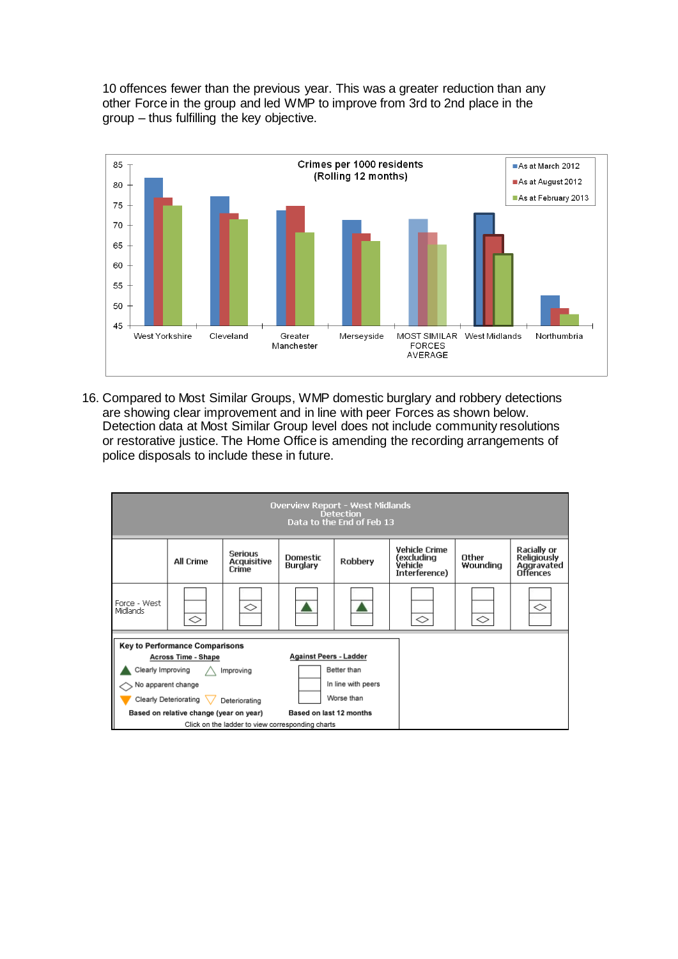10 offences fewer than the previous year. This was a greater reduction than any other Force in the group and led WMP to improve from 3rd to 2nd place in the group – thus fulfilling the key objective.



16. Compared to Most Similar Groups, WMP domestic burglary and robbery detections are showing clear improvement and in line with peer Forces as shown below. Detection data at Most Similar Group level does not include community resolutions or restorative justice. The Home Office is amending the recording arrangements of police disposals to include these in future.

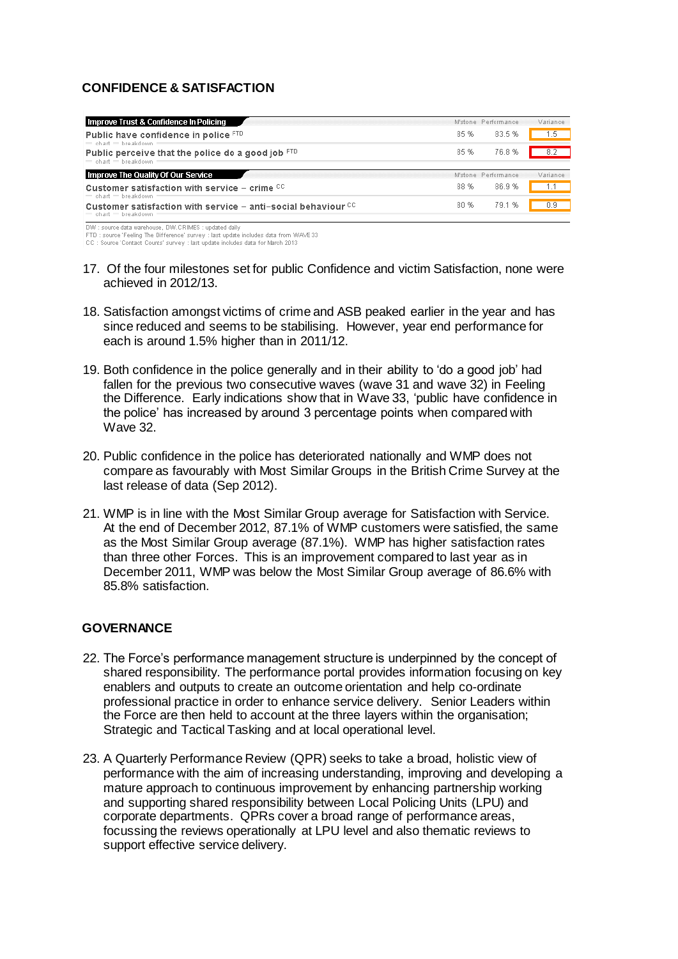### **CONFIDENCE & SATISFACTION**

| <b>Improve Trust &amp; Confidence In Policing</b>                                            |      | M'stone Performance | Variance |
|----------------------------------------------------------------------------------------------|------|---------------------|----------|
| Public have confidence in police FTD<br>$=$ chart $=$ breakdown                              | 85%  | 83.5%               | 1.5.     |
| Public perceive that the police do a good job $FID$<br>$=$ chart $=$ breakdown               | 85%  | 76.8%               |          |
| Improve The Quality Of Our Service                                                           |      | M'stone Performance | Variance |
| Customer satisfaction with service – crime $^{cc}$<br>$=$ chart $=$ breakdown                | 88%  | 86.9%               |          |
| Customer satisfaction with service $-$ anti-social behaviour $CC$<br>$=$ chart $=$ breakdown | 80 % | 791%                | 0.9      |

DW : source data warehouse, DW.CRIMES : updated daily<br>FTD : source 'Feeling The Difference' survey : last update includes data from WAVE 33

CC : Source 'Contact Counts' survey : last update includes data for March 2013

- 17. Of the four milestones set for public Confidence and victim Satisfaction, none were achieved in 2012/13.
- 18. Satisfaction amongst victims of crime and ASB peaked earlier in the year and has since reduced and seems to be stabilising. However, year end performance for each is around 1.5% higher than in 2011/12.
- 19. Both confidence in the police generally and in their ability to 'do a good job' had fallen for the previous two consecutive waves (wave 31 and wave 32) in Feeling the Difference. Early indications show that in Wave 33, 'public have confidence in the police' has increased by around 3 percentage points when compared with Wave 32.
- 20. Public confidence in the police has deteriorated nationally and WMP does not compare as favourably with Most Similar Groups in the British Crime Survey at the last release of data (Sep 2012).
- 21. WMP is in line with the Most Similar Group average for Satisfaction with Service. At the end of December 2012, 87.1% of WMP customers were satisfied, the same as the Most Similar Group average (87.1%). WMP has higher satisfaction rates than three other Forces. This is an improvement compared to last year as in December 2011, WMP was below the Most Similar Group average of 86.6% with 85.8% satisfaction.

#### **GOVERNANCE**

- 22. The Force's performance management structure is underpinned by the concept of shared responsibility. The performance portal provides information focusing on key enablers and outputs to create an outcome orientation and help co-ordinate professional practice in order to enhance service delivery. Senior Leaders within the Force are then held to account at the three layers within the organisation; Strategic and Tactical Tasking and at local operational level.
- 23. A Quarterly Performance Review (QPR) seeks to take a broad, holistic view of performance with the aim of increasing understanding, improving and developing a mature approach to continuous improvement by enhancing partnership working and supporting shared responsibility between Local Policing Units (LPU) and corporate departments. QPRs cover a broad range of performance areas, focussing the reviews operationally at LPU level and also thematic reviews to support effective service delivery.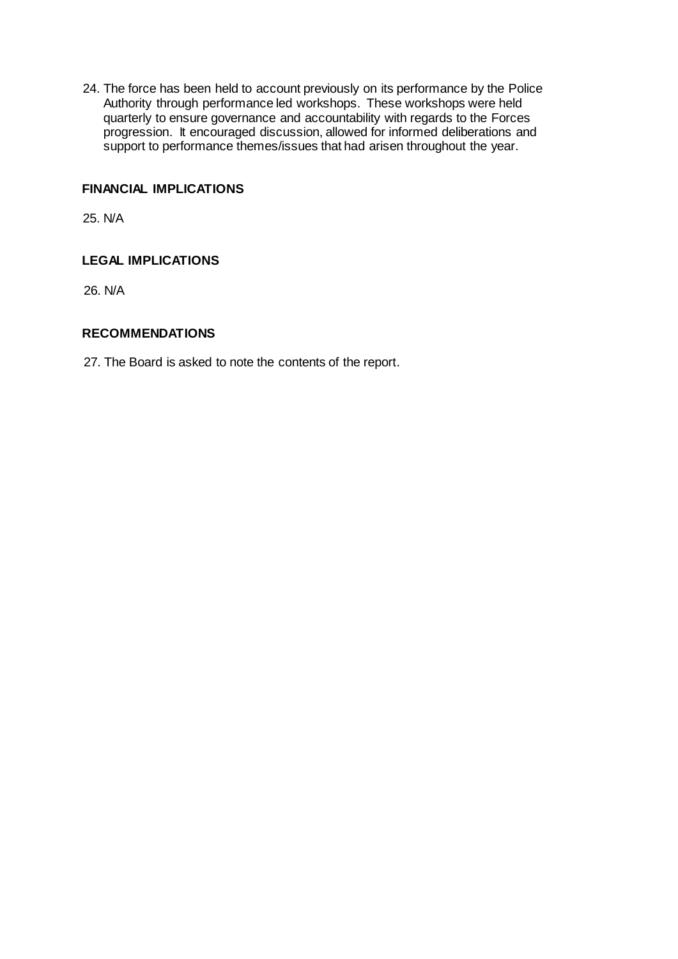24. The force has been held to account previously on its performance by the Police Authority through performance led workshops. These workshops were held quarterly to ensure governance and accountability with regards to the Forces progression. It encouraged discussion, allowed for informed deliberations and support to performance themes/issues that had arisen throughout the year.

### **FINANCIAL IMPLICATIONS**

25. N/A

### **LEGAL IMPLICATIONS**

26. N/A

#### **RECOMMENDATIONS**

27. The Board is asked to note the contents of the report.